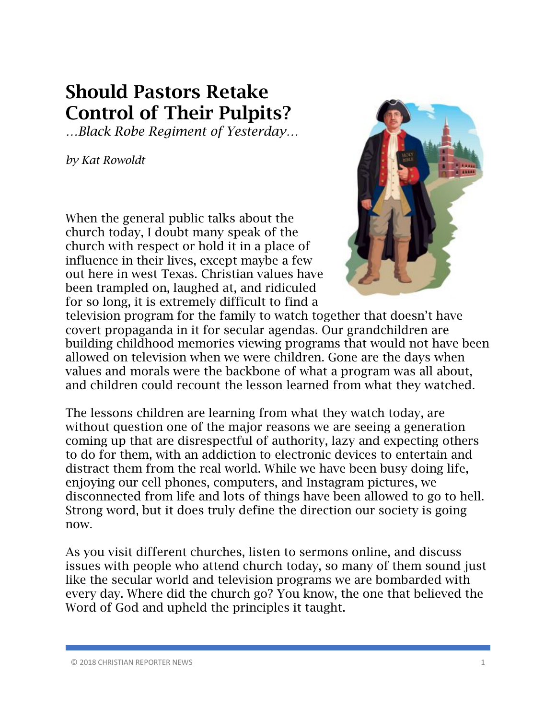## Should Pastors Retake Control of Their Pulpits?

*…Black Robe Regiment of Yesterday…*

*by Kat Rowoldt*

When the general public talks about the church today, I doubt many speak of the church with respect or hold it in a place of influence in their lives, except maybe a few out here in west Texas. Christian values have been trampled on, laughed at, and ridiculed for so long, it is extremely difficult to find a



television program for the family to watch together that doesn't have covert propaganda in it for secular agendas. Our grandchildren are building childhood memories viewing programs that would not have been allowed on television when we were children. Gone are the days when values and morals were the backbone of what a program was all about, and children could recount the lesson learned from what they watched.

The lessons children are learning from what they watch today, are without question one of the major reasons we are seeing a generation coming up that are disrespectful of authority, lazy and expecting others to do for them, with an addiction to electronic devices to entertain and distract them from the real world. While we have been busy doing life, enjoying our cell phones, computers, and Instagram pictures, we disconnected from life and lots of things have been allowed to go to hell. Strong word, but it does truly define the direction our society is going now.

As you visit different churches, listen to sermons online, and discuss issues with people who attend church today, so many of them sound just like the secular world and television programs we are bombarded with every day. Where did the church go? You know, the one that believed the Word of God and upheld the principles it taught.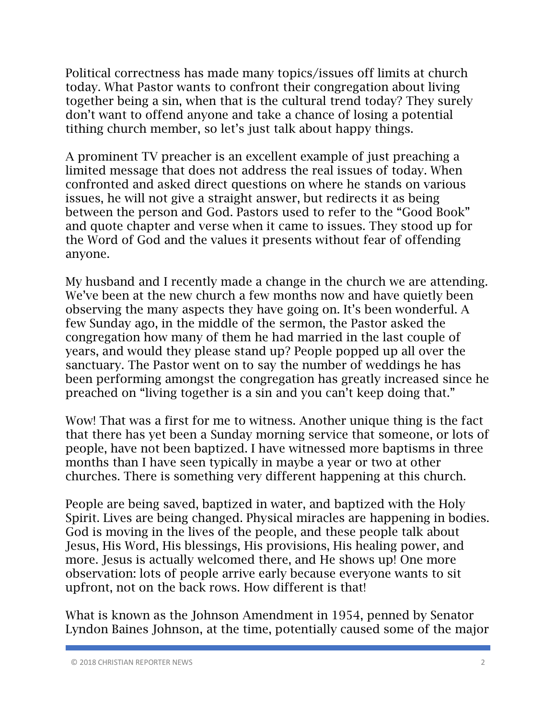Political correctness has made many topics/issues off limits at church today. What Pastor wants to confront their congregation about living together being a sin, when that is the cultural trend today? They surely don't want to offend anyone and take a chance of losing a potential tithing church member, so let's just talk about happy things.

A prominent TV preacher is an excellent example of just preaching a limited message that does not address the real issues of today. When confronted and asked direct questions on where he stands on various issues, he will not give a straight answer, but redirects it as being between the person and God. Pastors used to refer to the "Good Book" and quote chapter and verse when it came to issues. They stood up for the Word of God and the values it presents without fear of offending anyone.

My husband and I recently made a change in the church we are attending. We've been at the new church a few months now and have quietly been observing the many aspects they have going on. It's been wonderful. A few Sunday ago, in the middle of the sermon, the Pastor asked the congregation how many of them he had married in the last couple of years, and would they please stand up? People popped up all over the sanctuary. The Pastor went on to say the number of weddings he has been performing amongst the congregation has greatly increased since he preached on "living together is a sin and you can't keep doing that."

Wow! That was a first for me to witness. Another unique thing is the fact that there has yet been a Sunday morning service that someone, or lots of people, have not been baptized. I have witnessed more baptisms in three months than I have seen typically in maybe a year or two at other churches. There is something very different happening at this church.

People are being saved, baptized in water, and baptized with the Holy Spirit. Lives are being changed. Physical miracles are happening in bodies. God is moving in the lives of the people, and these people talk about Jesus, His Word, His blessings, His provisions, His healing power, and more. Jesus is actually welcomed there, and He shows up! One more observation: lots of people arrive early because everyone wants to sit upfront, not on the back rows. How different is that!

What is known as the Johnson Amendment in 1954, penned by Senator Lyndon Baines Johnson, at the time, potentially caused some of the major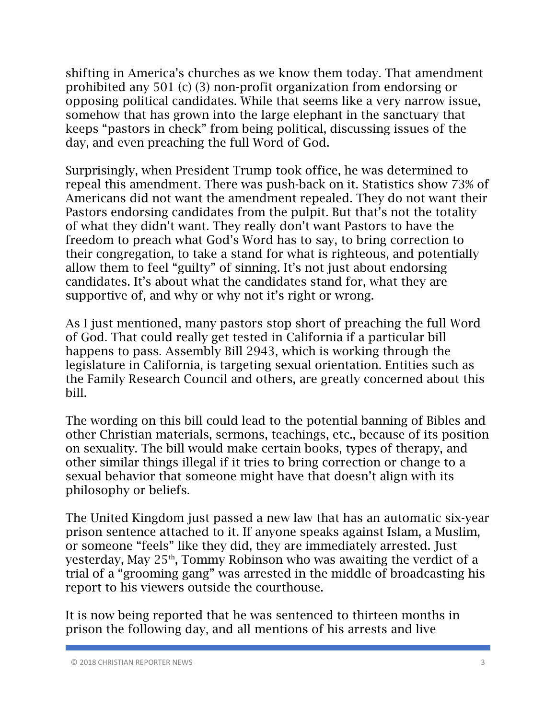shifting in America's churches as we know them today. That amendment prohibited any 501 (c) (3) non-profit organization from endorsing or opposing political candidates. While that seems like a very narrow issue, somehow that has grown into the large elephant in the sanctuary that keeps "pastors in check" from being political, discussing issues of the day, and even preaching the full Word of God.

Surprisingly, when President Trump took office, he was determined to repeal this amendment. There was push-back on it. Statistics show 73% of Americans did not want the amendment repealed. They do not want their Pastors endorsing candidates from the pulpit. But that's not the totality of what they didn't want. They really don't want Pastors to have the freedom to preach what God's Word has to say, to bring correction to their congregation, to take a stand for what is righteous, and potentially allow them to feel "guilty" of sinning. It's not just about endorsing candidates. It's about what the candidates stand for, what they are supportive of, and why or why not it's right or wrong.

As I just mentioned, many pastors stop short of preaching the full Word of God. That could really get tested in California if a particular bill happens to pass. Assembly Bill 2943, which is working through the legislature in California, is targeting sexual orientation. Entities such as the Family Research Council and others, are greatly concerned about this bill.

The wording on this bill could lead to the potential banning of Bibles and other Christian materials, sermons, teachings, etc., because of its position on sexuality. The bill would make certain books, types of therapy, and other similar things illegal if it tries to bring correction or change to a sexual behavior that someone might have that doesn't align with its philosophy or beliefs.

The United Kingdom just passed a new law that has an automatic six-year prison sentence attached to it. If anyone speaks against Islam, a Muslim, or someone "feels" like they did, they are immediately arrested. Just yesterday, May  $25<sup>th</sup>$ , Tommy Robinson who was awaiting the verdict of a trial of a "grooming gang" was arrested in the middle of broadcasting his report to his viewers outside the courthouse.

It is now being reported that he was sentenced to thirteen months in prison the following day, and all mentions of his arrests and live

<sup>© 2018</sup> CHRISTIAN REPORTER NEWS 3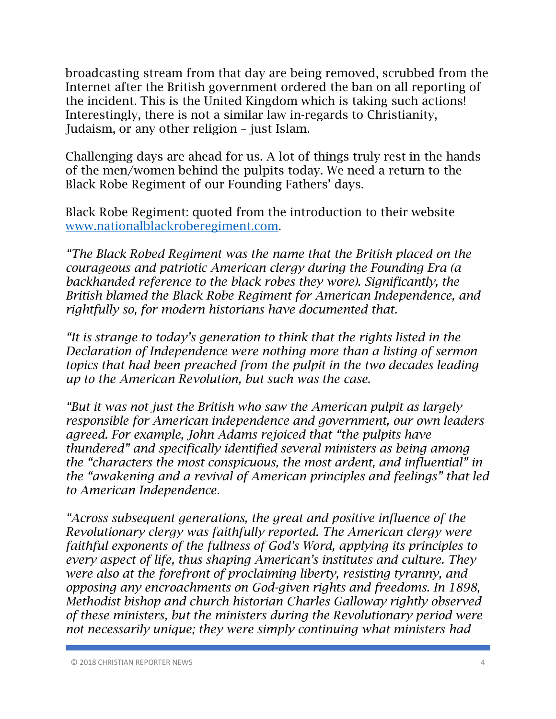broadcasting stream from that day are being removed, scrubbed from the Internet after the British government ordered the ban on all reporting of the incident. This is the United Kingdom which is taking such actions! Interestingly, there is not a similar law in-regards to Christianity, Judaism, or any other religion – just Islam.

Challenging days are ahead for us. A lot of things truly rest in the hands of the men/women behind the pulpits today. We need a return to the Black Robe Regiment of our Founding Fathers' days.

Black Robe Regiment: quoted from the introduction to their website www.nationalblackroberegiment.com.

*"The Black Robed Regiment was the name that the British placed on the courageous and patriotic American clergy during the Founding Era (a backhanded reference to the black robes they wore). Significantly, the British blamed the Black Robe Regiment for American Independence, and rightfully so, for modern historians have documented that.*

*"It is strange to today's generation to think that the rights listed in the Declaration of Independence were nothing more than a listing of sermon topics that had been preached from the pulpit in the two decades leading up to the American Revolution, but such was the case.*

*"But it was not just the British who saw the American pulpit as largely responsible for American independence and government, our own leaders agreed. For example, John Adams rejoiced that "the pulpits have thundered" and specifically identified several ministers as being among the "characters the most conspicuous, the most ardent, and influential" in the "awakening and a revival of American principles and feelings" that led to American Independence.* 

*"Across subsequent generations, the great and positive influence of the Revolutionary clergy was faithfully reported. The American clergy were faithful exponents of the fullness of God's Word, applying its principles to every aspect of life, thus shaping American's institutes and culture. They were also at the forefront of proclaiming liberty, resisting tyranny, and opposing any encroachments on God-given rights and freedoms. In 1898, Methodist bishop and church historian Charles Galloway rightly observed of these ministers, but the ministers during the Revolutionary period were not necessarily unique; they were simply continuing what ministers had*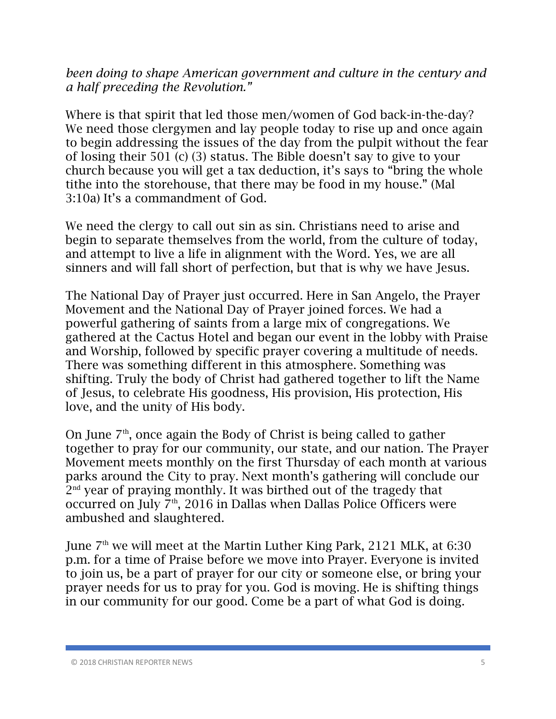*been doing to shape American government and culture in the century and a half preceding the Revolution."*

Where is that spirit that led those men/women of God back-in-the-day? We need those clergymen and lay people today to rise up and once again to begin addressing the issues of the day from the pulpit without the fear of losing their 501 (c) (3) status. The Bible doesn't say to give to your church because you will get a tax deduction, it's says to "bring the whole tithe into the storehouse, that there may be food in my house." (Mal 3:10a) It's a commandment of God.

We need the clergy to call out sin as sin. Christians need to arise and begin to separate themselves from the world, from the culture of today, and attempt to live a life in alignment with the Word. Yes, we are all sinners and will fall short of perfection, but that is why we have Jesus.

The National Day of Prayer just occurred. Here in San Angelo, the Prayer Movement and the National Day of Prayer joined forces. We had a powerful gathering of saints from a large mix of congregations. We gathered at the Cactus Hotel and began our event in the lobby with Praise and Worship, followed by specific prayer covering a multitude of needs. There was something different in this atmosphere. Something was shifting. Truly the body of Christ had gathered together to lift the Name of Jesus, to celebrate His goodness, His provision, His protection, His love, and the unity of His body.

On June  $7<sup>th</sup>$ , once again the Body of Christ is being called to gather together to pray for our community, our state, and our nation. The Prayer Movement meets monthly on the first Thursday of each month at various parks around the City to pray. Next month's gathering will conclude our 2<sup>nd</sup> year of praying monthly. It was birthed out of the tragedy that occurred on July  $7<sup>th</sup>$ , 2016 in Dallas when Dallas Police Officers were ambushed and slaughtered.

June  $7<sup>th</sup>$  we will meet at the Martin Luther King Park, 2121 MLK, at 6:30 p.m. for a time of Praise before we move into Prayer. Everyone is invited to join us, be a part of prayer for our city or someone else, or bring your prayer needs for us to pray for you. God is moving. He is shifting things in our community for our good. Come be a part of what God is doing.